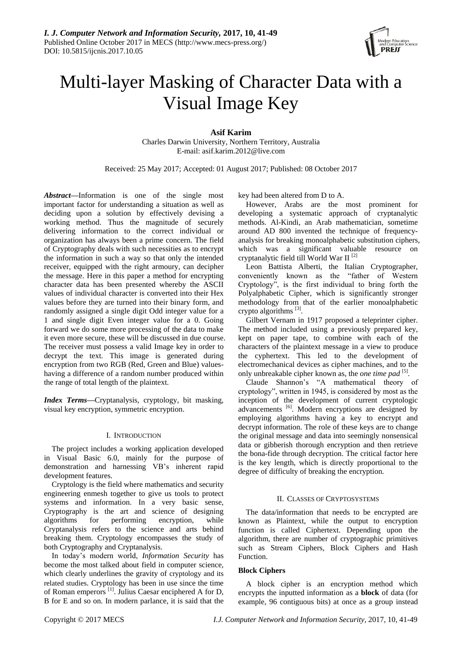

# Multi-layer Masking of Character Data with a Visual Image Key

**Asif Karim** Charles Darwin University, Northern Territory, Australia E-mail: asif.karim.2012@live.com

Received: 25 May 2017; Accepted: 01 August 2017; Published: 08 October 2017

*Abstract***—**Information is one of the single most important factor for understanding a situation as well as deciding upon a solution by effectively devising a working method. Thus the magnitude of securely delivering information to the correct individual or organization has always been a prime concern. The field of Cryptography deals with such necessities as to encrypt the information in such a way so that only the intended receiver, equipped with the right armoury, can decipher the message. Here in this paper a method for encrypting character data has been presented whereby the ASCII values of individual character is converted into their Hex values before they are turned into their binary form, and randomly assigned a single digit Odd integer value for a 1 and single digit Even integer value for a 0. Going forward we do some more processing of the data to make it even more secure, these will be discussed in due course. The receiver must possess a valid Image key in order to decrypt the text. This image is generated during encryption from two RGB (Red, Green and Blue) valueshaving a difference of a random number produced within the range of total length of the plaintext.

*Index Terms***—**Cryptanalysis, cryptology, bit masking, visual key encryption, symmetric encryption.

## I. INTRODUCTION

The project includes a working application developed in Visual Basic 6.0, mainly for the purpose of demonstration and harnessing VB's inherent rapid development features.

Cryptology is the field where mathematics and security engineering enmesh together to give us tools to protect systems and information. In a very basic sense, Cryptography is the art and science of designing algorithms for performing encryption, while Cryptanalysis refers to the science and arts behind breaking them. Cryptology encompasses the study of both Cryptography and Cryptanalysis.

In today's modern world, *Information Security* has become the most talked about field in computer science, which clearly underlines the gravity of cryptology and its related studies. Cryptology has been in use since the time of Roman emperors<sup>[1]</sup>. Julius Caesar enciphered A for D, B for E and so on. In modern parlance, it is said that the

key had been altered from D to A.

However, Arabs are the most prominent for developing a systematic approach of cryptanalytic methods. Al-Kindi, an Arab mathematician, sometime around AD 800 invented the technique of frequencyanalysis for breaking monoalphabetic substitution ciphers, which was a significant valuable resource on cryptanalytic field till World War II [2]

Leon Battista Alberti, the Italian Cryptographer, conveniently known as the "father of Western Cryptology", is the first individual to bring forth the Polyalphabetic Cipher, which is significantly stronger methodology from that of the earlier monoalphabetic crypto algorithms<sup>[3]</sup>.

Gilbert Vernam in 1917 proposed a teleprinter cipher. The method included using a previously prepared key, kept on paper tape, to combine with each of the characters of the plaintext message in a view to produce the cyphertext. This led to the development of electromechanical devices as cipher machines, and to the only unbreakable cipher known as, the *one time pad* [5].

Claude Shannon's "A mathematical theory of cryptology", written in 1945, is considered by most as the inception of the development of current cryptologic advancements <sup>[6]</sup>. Modern encryptions are designed by employing algorithms having a key to encrypt and decrypt information. The role of these keys are to change the original message and data into seemingly nonsensical data or gibberish thorough encryption and then retrieve the bona-fide through decryption. The critical factor here is the key length, which is directly proportional to the degree of difficulty of breaking the encryption.

# II. CLASSES OF CRYPTOSYSTEMS

The data/information that needs to be encrypted are known as Plaintext, while the output to encryption function is called Ciphertext. Depending upon the algorithm, there are number of cryptographic primitives such as Stream Ciphers, Block Ciphers and Hash Function.

# **Block Ciphers**

A block cipher is an encryption method which encrypts the inputted information as a **block** of data (for example, 96 contiguous bits) at once as a group instead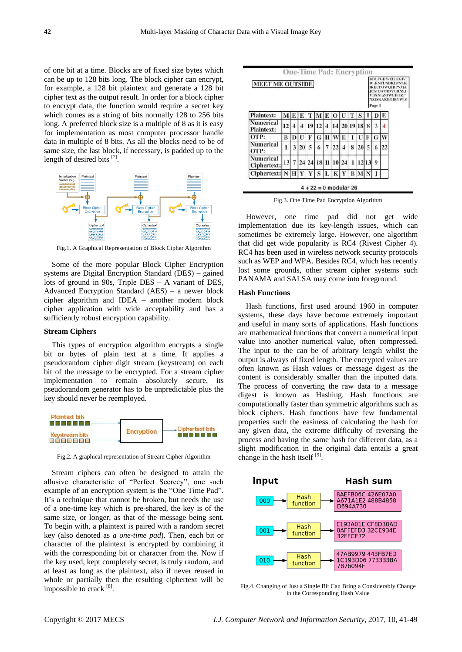of one bit at a time. Blocks are of fixed size bytes which can be up to 128 bits long. The block cipher can encrypt, for example, a 128 bit plaintext and generate a 128 bit cipher text as the output result. In order for a block cipher to encrypt data, the function would require a secret key which comes as a string of bits normally 128 to 256 bits long. A preferred block size is a multiple of 8 as it is easy for implementation as most computer processor handle data in multiple of 8 bits. As all the blocks need to be of same size, the last block, if necessary, is padded up to the length of desired bits [7].



Fig.1. A Graphical Representation of Block Cipher Algorithm

Some of the more popular Block Cipher Encryption systems are Digital Encryption Standard (DES) – gained lots of ground in 90s, Triple DES – A variant of DES, Advanced Encryption Standard (AES) – a newer block cipher algorithm and IDEA – another modern block cipher application with wide acceptability and has a sufficiently robust encryption capability.

## **Stream Ciphers**

This types of encryption algorithm encrypts a single bit or bytes of plain text at a time. It applies a pseudorandom cipher digit stream (keystream) on each bit of the message to be encrypted. For a stream cipher implementation to remain absolutely secure, its pseudorandom generator has to be unpredictable plus the key should never be reemployed.



Fig.2. A graphical representation of Stream Cipher Algorithm

Stream ciphers can often be designed to attain the allusive characteristic of "Perfect Secrecy", one such example of an encryption system is the "One Time Pad". It's a technique that cannot be broken, but needs the use of a one-time key which is pre-shared, the key is of the same size, or longer, as that of the message being sent. To begin with, a plaintext is paired with a random secret key (also denoted as *a one-time pad*). Then, each bit or character of the plaintext is encrypted by combining it with the corresponding bit or character from the. Now if the key used, kept completely secret, is truly random, and at least as long as the plaintext, also if never reused in whole or partially then the resulting ciphertext will be impossible to crack [8].

| <b>MEET ME OUTSIDE</b>                |    |   |    |    |    |    |    |    |   | <b>BDUFGHWEILFGW</b><br><b>DLKNFLNDKLFNLK</b><br><b>IREUPOWQIRPNMA</b><br><b>JCMLWOIDYCHNSJ</b><br><b>VBXNLZOWUEORP</b><br><b>NSJSKAKEOIRYWIS</b><br>Page 1 |    |   |   |  |
|---------------------------------------|----|---|----|----|----|----|----|----|---|-------------------------------------------------------------------------------------------------------------------------------------------------------------|----|---|---|--|
| <b>Plaintext:</b>                     | м  |   |    |    |    |    |    |    |   |                                                                                                                                                             |    |   | Е |  |
| <b>Numerical</b><br><b>Plaintext:</b> | 12 |   |    | 19 | 12 |    |    |    |   | 20 19 18                                                                                                                                                    | 8  | 3 | 4 |  |
| OTP:                                  | B  |   |    |    | G  |    |    | E  |   |                                                                                                                                                             | F  | G | w |  |
| <b>Numerical</b><br>OTP:              | ı  | 3 | 20 | 5  | 6  |    |    |    | 8 | 20                                                                                                                                                          | 5  | 6 |   |  |
| <b>Numerical</b><br>Ciphertext:       | 13 | 7 | 24 | 24 | 18 | 11 | 10 | 24 |   |                                                                                                                                                             | 13 | 9 |   |  |
| Ciphertext: N                         |    |   |    |    | S  |    | K  |    | B |                                                                                                                                                             |    |   |   |  |

Fig.3. One Time Pad Encryption Algorithm

However, one time pad did not get wide implementation due its key-length issues, which can sometimes be extremely large. However, one algorithm that did get wide popularity is RC4 (Rivest Cipher 4). RC4 has been used in wireless network security protocols such as WEP and WPA. Besides RC4, which has recently lost some grounds, other stream cipher systems such PANAMA and SALSA may come into foreground.

#### **Hash Functions**

Hash functions, first used around 1960 in computer systems, these days have become extremely important and useful in many sorts of applications. Hash functions are mathematical functions that convert a numerical input value into another numerical value, often compressed. The input to the can be of arbitrary length whilst the output is always of fixed length. The encrypted values are often known as Hash values or message digest as the content is considerably smaller than the inputted data. The process of converting the raw data to a message digest is known as Hashing. Hash functions are computationally faster than symmetric algorithms such as block ciphers. Hash functions have few fundamental properties such the easiness of calculating the hash for any given data, the extreme difficulty of reversing the process and having the same hash for different data, as a slight modification in the original data entails a great change in the hash itself  $[9]$ .



Fig.4. Changing of Just a Single Bit Can Bring a Considerably Change in the Corresponding Hash Value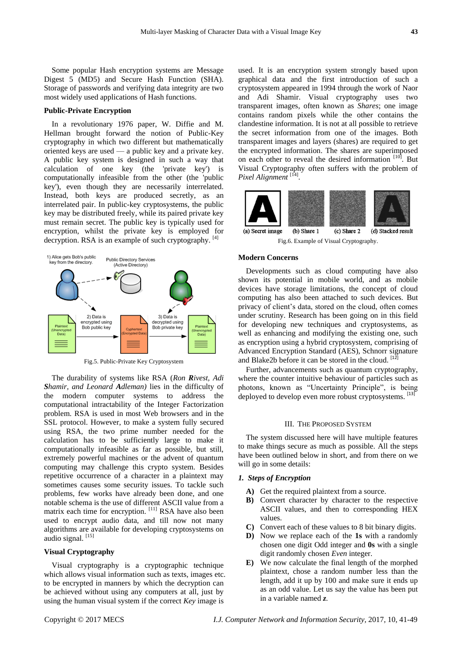Some popular Hash encryption systems are Message Digest 5 (MD5) and Secure Hash Function (SHA). Storage of passwords and verifying data integrity are two most widely used applications of Hash functions.

## **Public-Private Encryption**

In a revolutionary 1976 paper, W. Diffie and M. Hellman brought forward the notion of Public-Key cryptography in which two different but mathematically oriented keys are used — a public key and a private key. A public key system is designed in such a way that calculation of one key (the 'private key') is computationally infeasible from the other (the 'public key'), even though they are necessarily interrelated. Instead, both keys are produced secretly, as an interrelated pair. In public-key cryptosystems, the public key may be distributed freely, while its paired private key must remain secret. The public key is typically used for encryption, whilst the private key is employed for decryption. RSA is an example of such cryptography.  $[4]$ 



Fig.5. Public-Private Key Cryptosystem

The durability of systems like RSA (*Ron Rivest, Adi Shamir, and Leonard Adleman)* lies in the difficulty of the modern computer systems to address the computational intractability of the Integer Factorization problem. RSA is used in most Web browsers and in the SSL protocol. However, to make a system fully secured using RSA, the two prime number needed for the calculation has to be sufficiently large to make it computationally infeasible as far as possible, but still, extremely powerful machines or the advent of quantum computing may challenge this crypto system. Besides repetitive occurrence of a character in a plaintext may sometimes causes some security issues. To tackle such problems, few works have already been done, and one notable schema is the use of different ASCII value from a matrix each time for encryption. [11] RSA have also been used to encrypt audio data, and till now not many algorithms are available for developing cryptosystems on audio signal.<sup>[15]</sup>

## **Visual Cryptography**

Visual cryptography is a cryptographic technique which allows visual information such as texts, images etc. to be encrypted in manners by which the decryption can be achieved without using any computers at all, just by using the human visual system if the correct *Key* image is

used. It is an encryption system strongly based upon graphical data and the first introduction of such a cryptosystem appeared in 1994 through the work of Naor and Adi Shamir. Visual cryptography uses two transparent images, often known as *Shares*; one image contains random pixels while the other contains the clandestine information. It is not at all possible to retrieve the secret information from one of the images. Both transparent images and layers (shares) are required to get the encrypted information. The shares are superimposed on each other to reveal the desired information [10]. But Visual Cryptography often suffers with the problem of Pixel Alignment<sup>[14]</sup>.



Fig.6. Example of Visual Cryptography.

#### **Modern Concerns**

Developments such as cloud computing have also shown its potential in mobile world, and as mobile devices have storage limitations, the concept of cloud computing has also been attached to such devices. But privacy of client's data, stored on the cloud, often comes under scrutiny. Research has been going on in this field for developing new techniques and cryptosystems, as well as enhancing and modifying the existing one, such as encryption using a hybrid cryptosystem, comprising of Advanced Encryption Standard (AES), Schnorr signature and Blake2b before it can be stored in the cloud. [12]

Further, advancements such as quantum cryptography, where the counter intuitive behaviour of particles such as photons, known as "Uncertainty Principle", is being deployed to develop even more robust cryptosystems. <sup>[13]</sup>

#### III. THE PROPOSED SYSTEM

The system discussed here will have multiple features to make things secure as much as possible. All the steps have been outlined below in short, and from there on we will go in some details:

## *1. Steps of Encryption*

- **A)** Get the required plaintext from a source.
- **B)** Convert character by character to the respective ASCII values, and then to corresponding HEX values.
- **C)** Convert each of these values to 8 bit binary digits.
- **D)** Now we replace each of the **1s** with a randomly chosen one digit Odd integer and **0s** with a single digit randomly chosen *Even* integer.
- **E)** We now calculate the final length of the morphed plaintext, chose a random number less than the length, add it up by 100 and make sure it ends up as an odd value. Let us say the value has been put in a variable named *z.*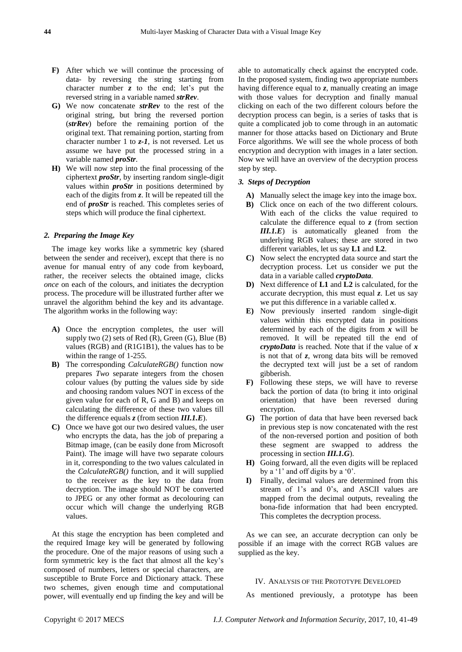- **F)** After which we will continue the processing of data- by reversing the string starting from character number *z* to the end; let's put the reversed string in a variable named *strRev*.
- **G)** We now concatenate *strRev* to the rest of the original string, but bring the reversed portion (*strRev*) before the remaining portion of the original text. That remaining portion, starting from character number 1 to *z-1*, is not reversed. Let us assume we have put the processed string in a variable named *proStr*.
- **H)** We will now step into the final processing of the ciphertext *proStr*, by inserting random single-digit values within *proStr* in positions determined by each of the digits from *z*. It will be repeated till the end of *proStr* is reached. This completes series of steps which will produce the final ciphertext.

## *2. Preparing the Image Key*

The image key works like a symmetric key (shared between the sender and receiver), except that there is no avenue for manual entry of any code from keyboard, rather, the receiver selects the obtained image, clicks *once* on each of the colours, and initiates the decryption process. The procedure will be illustrated further after we unravel the algorithm behind the key and its advantage. The algorithm works in the following way:

- **A)** Once the encryption completes, the user will supply two  $(2)$  sets of Red  $(R)$ , Green  $(G)$ , Blue  $(B)$ values (RGB) and (R1G1B1), the values has to be within the range of 1-255.
- **B)** The corresponding *CalculateRGB()* function now prepares *Two* separate integers from the chosen colour values (by putting the values side by side and choosing random values NOT in excess of the given value for each of R, G and B) and keeps on calculating the difference of these two values till the difference equals *z* (from section *III.1.E*).
- **C)** Once we have got our two desired values, the user who encrypts the data, has the job of preparing a Bitmap image, (can be easily done from Microsoft Paint). The image will have two separate colours in it, corresponding to the two values calculated in the *CalculateRGB()* function, and it will supplied to the receiver as the key to the data from decryption. The image should NOT be converted to JPEG or any other format as decolouring can occur which will change the underlying RGB values.

At this stage the encryption has been completed and the required Image key will be generated by following the procedure. One of the major reasons of using such a form symmetric key is the fact that almost all the key's composed of numbers, letters or special characters, are susceptible to Brute Force and Dictionary attack. These two schemes, given enough time and computational power, will eventually end up finding the key and will be

able to automatically check against the encrypted code. In the proposed system, finding two appropriate numbers having difference equal to *z*, manually creating an image with those values for decryption and finally manual clicking on each of the two different colours before the decryption process can begin, is a series of tasks that is quite a complicated job to come through in an automatic manner for those attacks based on Dictionary and Brute Force algorithms. We will see the whole process of both encryption and decryption with images in a later section. Now we will have an overview of the decryption process step by step.

#### *3. Steps of Decryption*

- **A)** Manually select the image key into the image box.
- **B)** Click once on each of the two different colours. With each of the clicks the value required to calculate the difference equal to *z* (from section *III.1.E*) is automatically gleaned from the underlying RGB values; these are stored in two different variables, let us say **L1** and **L2**.
- **C)** Now select the encrypted data source and start the decryption process. Let us consider we put the data in a variable called *cryptoData*.
- **D)** Next difference of **L1** and **L2** is calculated, for the accurate decryption, this must equal *z*. Let us say we put this difference in a variable called *x*.
- **E)** Now previously inserted random single-digit values within this encrypted data in positions determined by each of the digits from *x* will be removed. It will be repeated till the end of *cryptoData* is reached. Note that if the value of *x*  is not that of *z*, wrong data bits will be removed the decrypted text will just be a set of random gibberish.
- **F)** Following these steps, we will have to reverse back the portion of data (to bring it into original orientation) that have been reversed during encryption.
- **G)** The portion of data that have been reversed back in previous step is now concatenated with the rest of the non-reversed portion and position of both these segment are swapped to address the processing in section *III.1.G*).
- **H)** Going forward, all the even digits will be replaced by a '1' and off digits by a '0'.
- **I)** Finally, decimal values are determined from this stream of 1's and 0's, and ASCII values are mapped from the decimal outputs, revealing the bona-fide information that had been encrypted. This completes the decryption process.

As we can see, an accurate decryption can only be possible if an image with the correct RGB values are supplied as the key.

### IV. ANALYSIS OF THE PROTOTYPE DEVELOPED

As mentioned previously, a prototype has been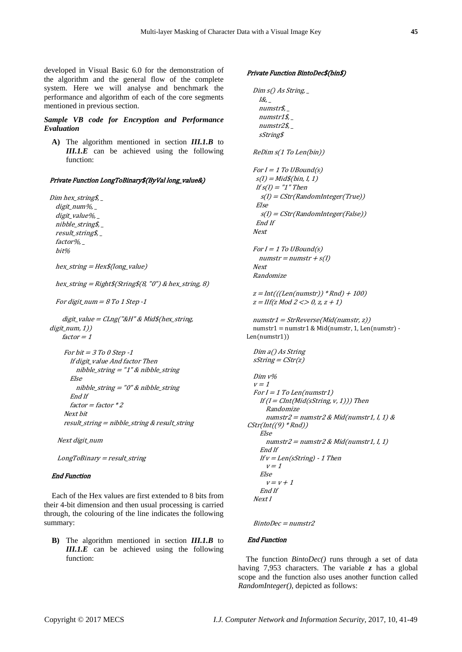developed in Visual Basic 6.0 for the demonstration of the algorithm and the general flow of the complete system. Here we will analyse and benchmark the performance and algorithm of each of the core segments mentioned in previous section.

## *Sample VB code for Encryption and Performance Evaluation*

**A)** The algorithm mentioned in section *III.1.B* to *III.1.E* can be achieved using the following function:

#### Private Function LongToBinary\$(ByVal long\_value&)

Dim hex\_string\$, \_ digit\_num%, \_ digit\_value%, nibble\_string\$, \_ result\_string\$, \_ factor%, \_ bit%

hex\_string = Hex\$(long\_value)

hex\_string =  $Right$(String$(8, "0") \& hex\_string, 8)$ 

```
For digit_num = 8 To 1 Step -1
```

```
digit_value = CLng("&H" & Mid$/hex_string,digit_num, 1))
   factor = 1
```

```
 For bit = 3 To 0 Step -1
      If digit value And factor Then
        nibble string = "1" & nibble string
       Else
         nibble_string = "0" & nibble_string
       End If
      factor = factor * 2 Next bit
     result_string = nibble_string & result_string
```
Next digit\_num

LongToBinary = result\_string

### End Function

Each of the Hex values are first extended to 8 bits from their 4-bit dimension and then usual processing is carried through, the colouring of the line indicates the following summary:

**B)** The algorithm mentioned in section *III.1.B* to *III.1.E* can be achieved using the following

#### Private Function BintoDec\$(bin\$)

```
Dim \simeq \simeq \text{String}I\mathcal{L},
     numstr$, _
     numstr1$, _
     numstr2$, _
     sString$
   ReDim s(1 To Len(bin))
  For I = 1 To UBound(s)s(I) = Mid\$(bin, I, 1)If s(I) = "1" Then s(I) = CStr(RandomInteger(True))
    Else
     s(I) = CStr(RandomInteger(False))
    End If
   Next
  For I = 1 To UBound(s)
    numstr = numstr + s(l) Next
   Randomize
  z = Int(((Len(numstr)) * Rnd) + 100)z = I \, I \, f \, (z \, \text{Mod} \, 2 \, \text{S} > 0, z, z + 1)numstr1 = StrReverse(Mid(numstr, z))numstr1 = numstr1 & Mid(numstr, 1, Len(numstr) -
Len(numstr1))
   Dim a() As String
  sString = CStr(z) Dim v%
  v = 1For I = 1 To Len(numstr1)
    If (I = Clnt(Mid(sString, v, 1))) Then
       Randomize
      numstr2 = numstr2 & Mid(numstr1, I, 1) &CStr(int((9) * Rnd)) Else
      numstr2 = numstr2 & Mid(numstr1, I, 1) End If
    If v = Len(sString) - 1 Then
      v = 1 Else
      v = v + 1 End If
  Next I
```
 $BintoDec = numstr2$ 

## End Function

function: The function *BintoDec()* runs through a set of data having 7,953 characters. The variable *z* has a global scope and the function also uses another function called *RandomInteger(),* depicted as follows: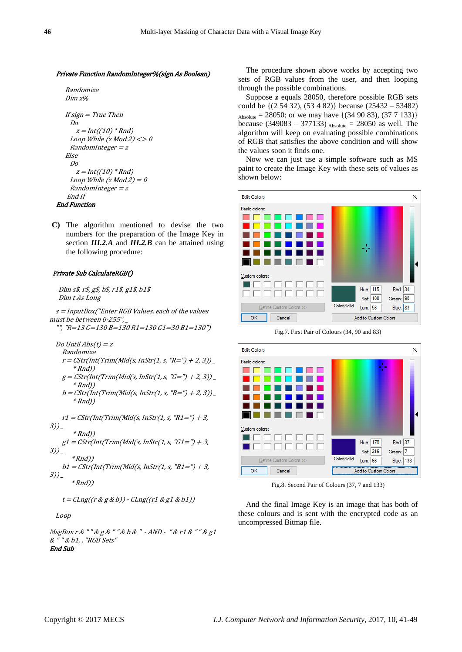#### Private Function RandomInteger%(sign As Boolean)

```
 Randomize
    Dim z%
    If sign = True Then
     Do
      z = Int((10) * Rnd)Loop While (z \text{ Mod } 2) \ll 0RandomInteger = z Else
     Do
      z = Int((10) * Rnd)Loop While (z \text{ Mod } 2) = 0RandomInteger = z End If
End Function
```
**C)** The algorithm mentioned to devise the two numbers for the preparation of the Image Key in section *III.2.A* and *III.2.B* can be attained using the following procedure:

#### Private Sub CalculateRGB()

 Dim s\$, r\$, g\$, b\$, r1\$, g1\$, b1\$ Dim t As Long

 $s =$ InputBox("Enter RGB Values, each of the values must be between 0-255", "", "R=13 G=130 B=130 R1=130 G1=30 B1=130")

Do Until  $Abs(t) = z$ 

- Randomize  $r = \text{CStr}(\text{Int}(\text{Trim}(\text{Mid}(s, \text{InStr}(1, s, "R = ")+ 2, 3)))$  $*$ Rnd))  $g = \text{CStr}(\text{Int}(\text{Trim}(\text{Mid}(s, \text{InStr}(1, s, "G=") + 2, 3)))$  $*$ Rnd))
- $b = \text{CStr}(\text{Int}(\text{Trim}(\text{Mid}(s, \text{InStr}(1, s, "B = ")+ 2, 3)))$  $*$ Rnd))

 $r1 = \text{CStr}(\text{Int}(Trim(\text{Mid}(s, \text{InStr}(1, s, "R1 = ")+ 3,$  $3)$ )  $*$ Rnd))  $g1 = \text{CStr}(\text{Int}(\text{Trim}(\text{Mid}(s, \text{InStr}(1, s, "G1 =") + 3,$  $3)$ )  $*$ Rnd))  $b1 = \text{CStr}(\text{Int}(\text{Trim}(\text{Mid}(s, \text{InStr}(1, s, \text{''B1}=\text{''})+3,$  $3)$ )

$$
*Rnd)
$$

 $t = CLng((r \& g \& b)) - CLng((r1 \& g1 \& b1))$ 

## Loop

MsgBox r & " " & g & " " & b & " - AND - " & r1 & " " & g1 & " " & b1, , "RGB Sets" End Sub

The procedure shown above works by accepting two sets of RGB values from the user, and then looping through the possible combinations.

Suppose *z* equals 28050, therefore possible RGB sets could be {(2 54 32), (53 4 82)} because (25432 – 53482)  $A_{\text{Asolute}} = 28050$ ; or we may have  $\{(34, 90, 83), (37, 7, 133)\}$ because (349083 – 377133)  $_{\text{Absolute}} = 28050$  as well. The algorithm will keep on evaluating possible combinations of RGB that satisfies the above condition and will show the values soon it finds one.

Now we can just use a simple software such as MS paint to create the Image Key with these sets of values as shown below:



Fig.7. First Pair of Colours (34, 90 and 83)



Fig.8. Second Pair of Colours (37, 7 and 133)

And the final Image Key is an image that has both of these colours and is sent with the encrypted code as an uncompressed Bitmap file.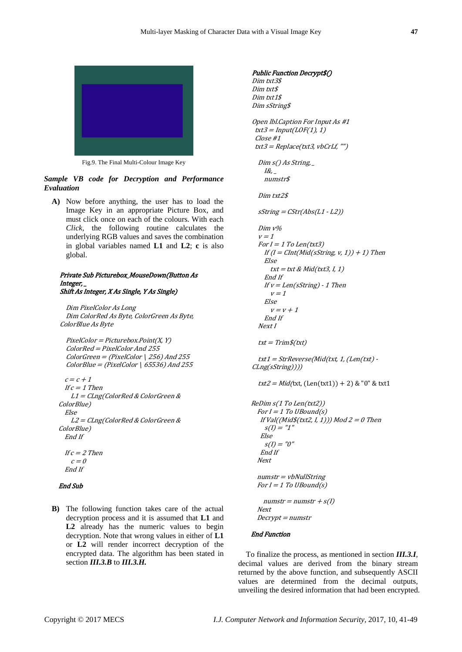

Fig.9. The Final Multi-Colour Image Key

*Sample VB code for Decryption and Performance Evaluation*

**A)** Now before anything, the user has to load the Image Key in an appropriate Picture Box, and must click once on each of the colours. With each *Click,* the following routine calculates the underlying RGB values and saves the combination in global variables named **L1** and **L2**; **c** is also global.

#### Private Sub Picturebox\_MouseDown(Button As Integer, \_ Shift As Integer, X As Single, Y As Single)

 Dim PixelColor As Long Dim ColorRed As Byte, ColorGreen As Byte, ColorBlue As Byte

 $PixelColor = Picturebox.Point(X, Y)$  ColorRed = PixelColor And 255  $ColorGreen = (PixelColor | 256)$  And 255  $ColorBlue = (PixelColor | 65536)$  And 255

```
c = c + 1If c = 1 Then
     L1 = CLng(ColorRed & ColorGreen & 
ColorBlue)
   Else
     L2 = CLng(ColorRed & ColorGreen & 
ColorBlue)
  End If
```
If  $c = 2$  Then  $c = 0$ End If

## End Sub

**B)** The following function takes care of the actual decryption process and it is assumed that **L1** and **L2** already has the numeric values to begin decryption. Note that wrong values in either of **L1** or **L2** will render incorrect decryption of the encrypted data. The algorithm has been stated in section *III.3.B* to *III.3.H.*

```
Public Function Decrypt$() 
Dim txt3$
Dim txt$
Dim txt1$
Dim sString$
Open lbl.Caption For Input As #1
 txt3 = Input(LOF(1), 1) Close #1
 txt3 = Replace(txt3, vbCrLf, "")Dim s() As String,
    I\mathcal{R}_{I-} numstr$
   Dim txt2$
  sString = CStr(Abs(L1 - L2)) Dim v%
  v = 1For I = 1 To Len(txt3)If (I = CInt(Mid(sString, v, 1)) + 1) Then
     Else
      txt = txt & Mid(txt3, I, 1) End If
    If v = Len(sString) - 1 Then
      v = 1 Else
      v = v + 1 End If
   Next I
  txt = Trim$(txt) txt1 = StrReverse(Mid(txt, 1, (Len(txt) -
CLng(sString))))
  txt2 = Mid(txt, (Len(txt1)) + 2) & "0" & txt1ReDim s(1 To Len(txt2))
 For I = 1 To UBound(s)If Val((Mid$(txtxt2, I, 1))) Mod 2 = 0 Then
    s(I) = "I" Else
    s(I) = "0" End If
   Next
  numstr = vbNullString
 For I = 1 To UBound(s)numstr = numstr + s(l) Next
  Decrypt = numstr
```
## End Function

To finalize the process, as mentioned in section *III.3.I,* decimal values are derived from the binary stream returned by the above function, and subsequently ASCII values are determined from the decimal outputs, unveiling the desired information that had been encrypted.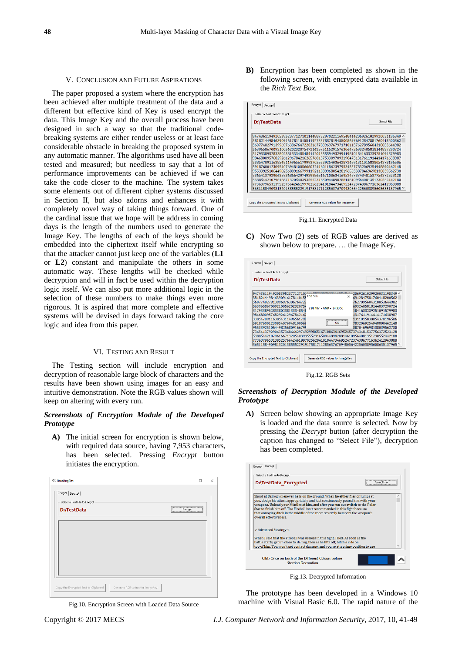#### V. CONCLUSION AND FUTURE ASPIRATIONS

The paper proposed a system where the encryption has been achieved after multiple treatment of the data and a different but effective kind of Key is used encrypt the data. This Image Key and the overall process have been designed in such a way so that the traditional codebreaking systems are either render useless or at least face considerable obstacle in breaking the proposed system in any automatic manner. The algorithms used have all been tested and measured; but needless to say that a lot of performance improvements can be achieved if we can take the code closer to the machine. The system takes some elements out of different cipher systems discussed in Section II, but also adorns and enhances it with completely novel way of taking things forward. One of the cardinal issue that we hope will be address in coming days is the length of the numbers used to generate the Image Key. The lengths of each of the keys should be embedded into the ciphertext itself while encrypting so that the attacker cannot just keep one of the variables (**L1** or **L2**) constant and manipulate the others in some automatic way. These lengths will be checked while decryption and will in fact be used within the decryption logic itself. We can also put more additional logic in the selection of these numbers to make things even more rigorous. It is aspired that more complete and effective systems will be devised in days forward taking the core logic and idea from this paper.

#### VI. TESTING AND RESULT

The Testing section will include encryption and decryption of reasonable large block of characters and the results have been shown using images for an easy and intuitive demonstration. Note the RGB values shown will keep on altering with every run.

## *Screenshots of Encryption Module of the Developed Prototype*

**A)** The initial screen for encryption is shown below, with required data source, having 7,953 characters, has been selected. Pressing *Encrypt* button initiates the encryption.

| Encrypt Decrypt<br>Select a Text File to Encrypt |  |  |             |  |
|--------------------------------------------------|--|--|-------------|--|
| D:\TestData                                      |  |  | $[$ Encrypt |  |
|                                                  |  |  |             |  |
|                                                  |  |  |             |  |
|                                                  |  |  |             |  |
|                                                  |  |  |             |  |
|                                                  |  |  |             |  |

Fig.10. Encryption Screen with Loaded Data Source

**B)** Encryption has been completed as shown in the following screen, with encrypted data available in the *Rich Text Box.*

| D:\TestData                                                                | Select File |
|----------------------------------------------------------------------------|-------------|
| 947436119492053952377127101144887329702211695484142069261029920031195349 ^ |             |
| 381821449846390916178110155119273378878194550086976912847581760418200562   |             |
| 560774027913996976386764722031677839697679717101157627895604318853644982   |             |
| 563965867009210056202320754721625751152915763064726932405818144837290724   |             |
| 317933895283380238133348548414201355594932994198101841633239251091579983   |             |
| 984680095768292612967842162657601575330970931984751317611914414171638987   |             |
| 338547091163854311496561799937055339254036428726991311015838054378196506   |             |
| 591876001230954076948100566607241601186239795343377832069254948890462148   |             |
| 955339251064498256809166799119211089968054281965553870469698138039562730   |             |
| 736541379290635736866429749299865167108634169524573743481537756372523128   |             |
| 538854421079616671320540393555231650944898288146109564081351730552442180   |             |
| 773637965313952576642461997025629410184473469524723743867716362412963888   |             |
| 365115849098132013855522919175817112856376709480564225603895608635137965 V |             |
|                                                                            |             |
|                                                                            |             |

Fig.11. Encrypted Data

**C)** Now Two (2) sets of RGB values are derived as shown below to prepare. … the Image Key.

| D:\TestData                                                                |                           | Select File               |  |
|----------------------------------------------------------------------------|---------------------------|---------------------------|--|
| 9474361194920539523771271014                                               | 10072307033116051011      | 12069261029920031195349 ^ |  |
| 38182144984639091617811015                                                 | <b>RGB Sets</b><br>×      | 6912847581760418200562    |  |
| 56077402791399697638676472                                                 |                           | 7627895604318853644982    |  |
| 563965867009210056202320754                                                | 2.93.187 - AND - 24.30.50 | 6932405818144837290724    |  |
| 317933895283380238133348548                                                |                           | 1841633239251091579983    |  |
| 98468009576829261296784216                                                 |                           | 1317611914414171638987    |  |
| 338547091163854311496561799                                                |                           | 1311015838054378196506    |  |
| 591876001230954076948100566                                                |                           | 7832069254948890462148    |  |
| 955339251064498256809166799                                                |                           | 3870469698138039562730    |  |
| 736541379290635736866429749299865167108634169524573743481537756372523128   |                           |                           |  |
| 538854421079616671320540393555231650944898288146109564081351730552442180   |                           |                           |  |
| 773637965313952576642461997025629410184473469524723743867716362412963888   |                           |                           |  |
| 365115849098132013855522919175817112856376709480564225603895608635137965 → |                           |                           |  |
|                                                                            |                           |                           |  |
|                                                                            |                           |                           |  |

Fig.12. RGB Sets

## *Screenshots of Decryption Module of the Developed Prototype*

**A)** Screen below showing an appropriate Image Key is loaded and the data source is selected. Now by pressing the *Decrypt* button (after decryption the caption has changed to "Select File"), decryption has been completed.



Fig.13. Decrypted Information

The prototype has been developed in a Windows 10 machine with Visual Basic 6.0. The rapid nature of the